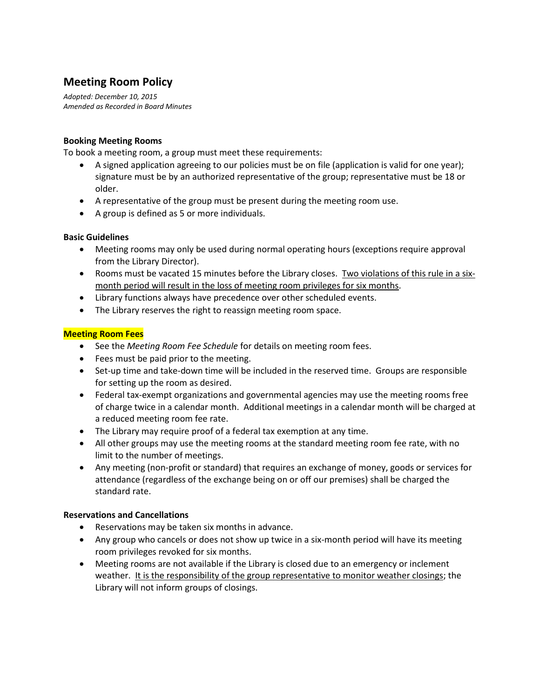# **Meeting Room Policy**

*Adopted: December 10, 2015 Amended as Recorded in Board Minutes*

# **Booking Meeting Rooms**

To book a meeting room, a group must meet these requirements:

- A signed application agreeing to our policies must be on file (application is valid for one year); signature must be by an authorized representative of the group; representative must be 18 or older.
- A representative of the group must be present during the meeting room use.
- A group is defined as 5 or more individuals.

## **Basic Guidelines**

- Meeting rooms may only be used during normal operating hours (exceptions require approval from the Library Director).
- Rooms must be vacated 15 minutes before the Library closes. Two violations of this rule in a sixmonth period will result in the loss of meeting room privileges for six months.
- Library functions always have precedence over other scheduled events.
- The Library reserves the right to reassign meeting room space.

# **Meeting Room Fees**

- See the *Meeting Room Fee Schedule* for details on meeting room fees.
- **•** Fees must be paid prior to the meeting.
- Set-up time and take-down time will be included in the reserved time. Groups are responsible for setting up the room as desired.
- Federal tax-exempt organizations and governmental agencies may use the meeting rooms free of charge twice in a calendar month. Additional meetings in a calendar month will be charged at a reduced meeting room fee rate.
- The Library may require proof of a federal tax exemption at any time.
- All other groups may use the meeting rooms at the standard meeting room fee rate, with no limit to the number of meetings.
- Any meeting (non-profit or standard) that requires an exchange of money, goods or services for attendance (regardless of the exchange being on or off our premises) shall be charged the standard rate.

## **Reservations and Cancellations**

- Reservations may be taken six months in advance.
- Any group who cancels or does not show up twice in a six-month period will have its meeting room privileges revoked for six months.
- Meeting rooms are not available if the Library is closed due to an emergency or inclement weather. It is the responsibility of the group representative to monitor weather closings; the Library will not inform groups of closings.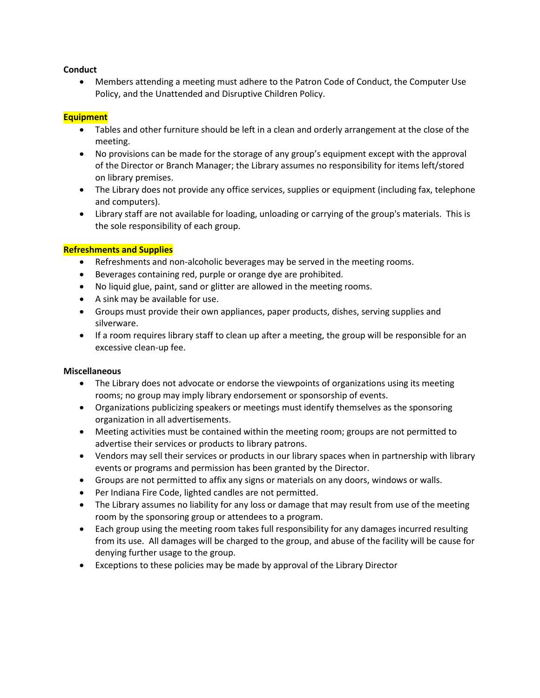## **Conduct**

 Members attending a meeting must adhere to the Patron Code of Conduct, the Computer Use Policy, and the Unattended and Disruptive Children Policy.

### **Equipment**

- Tables and other furniture should be left in a clean and orderly arrangement at the close of the meeting.
- No provisions can be made for the storage of any group's equipment except with the approval of the Director or Branch Manager; the Library assumes no responsibility for items left/stored on library premises.
- The Library does not provide any office services, supplies or equipment (including fax, telephone and computers).
- Library staff are not available for loading, unloading or carrying of the group's materials. This is the sole responsibility of each group.

#### **Refreshments and Supplies**

- Refreshments and non-alcoholic beverages may be served in the meeting rooms.
- Beverages containing red, purple or orange dye are prohibited.
- No liquid glue, paint, sand or glitter are allowed in the meeting rooms.
- A sink may be available for use.
- Groups must provide their own appliances, paper products, dishes, serving supplies and silverware.
- If a room requires library staff to clean up after a meeting, the group will be responsible for an excessive clean-up fee.

#### **Miscellaneous**

- The Library does not advocate or endorse the viewpoints of organizations using its meeting rooms; no group may imply library endorsement or sponsorship of events.
- Organizations publicizing speakers or meetings must identify themselves as the sponsoring organization in all advertisements.
- Meeting activities must be contained within the meeting room; groups are not permitted to advertise their services or products to library patrons.
- Vendors may sell their services or products in our library spaces when in partnership with library events or programs and permission has been granted by the Director.
- Groups are not permitted to affix any signs or materials on any doors, windows or walls.
- Per Indiana Fire Code, lighted candles are not permitted.
- The Library assumes no liability for any loss or damage that may result from use of the meeting room by the sponsoring group or attendees to a program.
- Each group using the meeting room takes full responsibility for any damages incurred resulting from its use. All damages will be charged to the group, and abuse of the facility will be cause for denying further usage to the group.
- Exceptions to these policies may be made by approval of the Library Director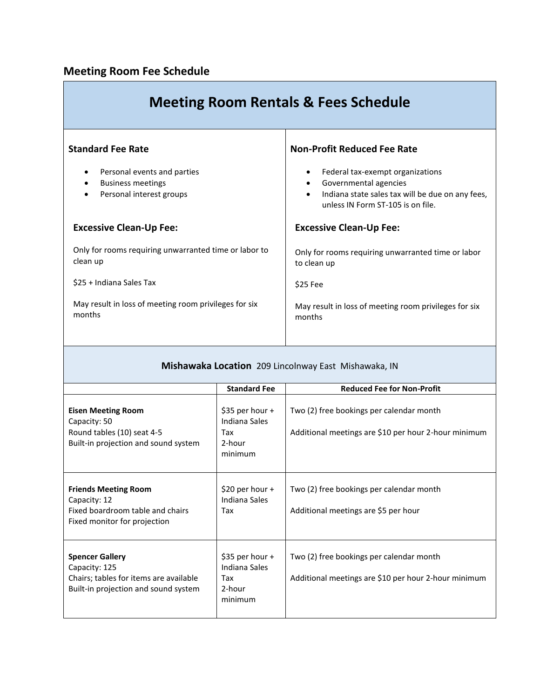# **Meeting Room Fee Schedule**

| <b>Meeting Room Rentals &amp; Fees Schedule</b>                                     |                                                                                                                                                                              |  |
|-------------------------------------------------------------------------------------|------------------------------------------------------------------------------------------------------------------------------------------------------------------------------|--|
| <b>Standard Fee Rate</b>                                                            | <b>Non-Profit Reduced Fee Rate</b>                                                                                                                                           |  |
| Personal events and parties<br><b>Business meetings</b><br>Personal interest groups | Federal tax-exempt organizations<br>Governmental agencies<br>$\bullet$<br>Indiana state sales tax will be due on any fees,<br>$\bullet$<br>unless IN Form ST-105 is on file. |  |
| <b>Excessive Clean-Up Fee:</b>                                                      | <b>Excessive Clean-Up Fee:</b>                                                                                                                                               |  |
| Only for rooms requiring unwarranted time or labor to<br>clean up                   | Only for rooms requiring unwarranted time or labor<br>to clean up                                                                                                            |  |
| \$25 + Indiana Sales Tax                                                            | \$25 Fee                                                                                                                                                                     |  |
| May result in loss of meeting room privileges for six<br>months                     | May result in loss of meeting room privileges for six<br>months                                                                                                              |  |

# **Mishawaka Location** 209 Lincolnway East Mishawaka, IN

|                                                                                                                           | <b>Standard Fee</b>                                            | <b>Reduced Fee for Non-Profit</b>                                                                |
|---------------------------------------------------------------------------------------------------------------------------|----------------------------------------------------------------|--------------------------------------------------------------------------------------------------|
| <b>Eisen Meeting Room</b><br>Capacity: 50<br>Round tables (10) seat 4-5<br>Built-in projection and sound system           | \$35 per hour $+$<br>Indiana Sales<br>Tax<br>2-hour<br>minimum | Two (2) free bookings per calendar month<br>Additional meetings are \$10 per hour 2-hour minimum |
| <b>Friends Meeting Room</b><br>Capacity: 12<br>Fixed boardroom table and chairs<br>Fixed monitor for projection           | \$20 per hour $+$<br>Indiana Sales<br>Tax                      | Two (2) free bookings per calendar month<br>Additional meetings are \$5 per hour                 |
| <b>Spencer Gallery</b><br>Capacity: 125<br>Chairs; tables for items are available<br>Built-in projection and sound system | \$35 per hour $+$<br>Indiana Sales<br>Tax<br>2-hour<br>minimum | Two (2) free bookings per calendar month<br>Additional meetings are \$10 per hour 2-hour minimum |